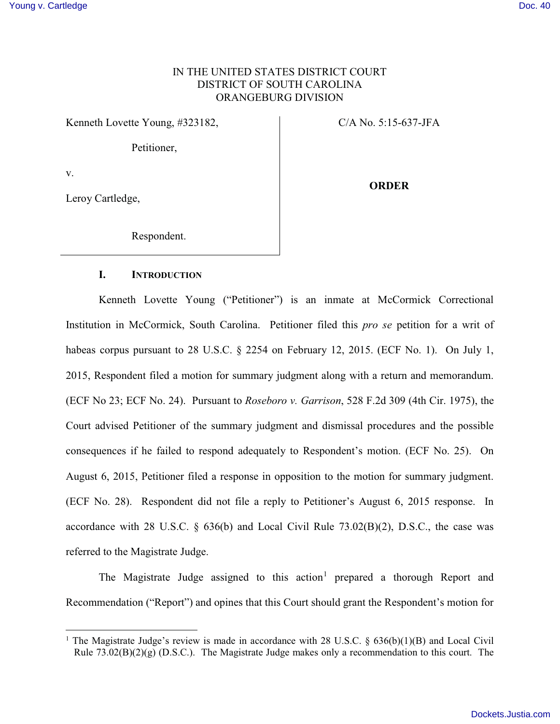# IN THE UNITED STATES DISTRICT COURT DISTRICT OF SOUTH CAROLINA ORANGEBURG DIVISION

Kenneth Lovette Young, #323182, C/A No. 5:15-637-JFA

Petitioner,

v.

 $\overline{a}$ 

Leroy Cartledge,

**ORDER**

Respondent.

# **I. INTRODUCTION**

Kenneth Lovette Young ("Petitioner") is an inmate at McCormick Correctional Institution in McCormick, South Carolina. Petitioner filed this *pro se* petition for a writ of habeas corpus pursuant to 28 U.S.C. § 2254 on February 12, 2015. (ECF No. 1). On July 1, 2015, Respondent filed a motion for summary judgment along with a return and memorandum. (ECF No 23; ECF No. 24). Pursuant to *Roseboro v. Garrison*, 528 F.2d 309 (4th Cir. 1975), the Court advised Petitioner of the summary judgment and dismissal procedures and the possible consequences if he failed to respond adequately to Respondent's motion. (ECF No. 25). On August 6, 2015, Petitioner filed a response in opposition to the motion for summary judgment. (ECF No. 28). Respondent did not file a reply to Petitioner's August 6, 2015 response. In accordance with 28 U.S.C.  $\S$  636(b) and Local Civil Rule 73.02(B)(2), D.S.C., the case was referred to the Magistrate Judge.

The Magistrate Judge assigned to this action<sup>1</sup> prepared a thorough Report and Recommendation ("Report") and opines that this Court should grant the Respondent's motion for

<sup>&</sup>lt;sup>1</sup> The Magistrate Judge's review is made in accordance with 28 U.S.C. §  $636(b)(1)(B)$  and Local Civil Rule 73.02(B)(2)(g) (D.S.C.). The Magistrate Judge makes only a recommendation to this court. The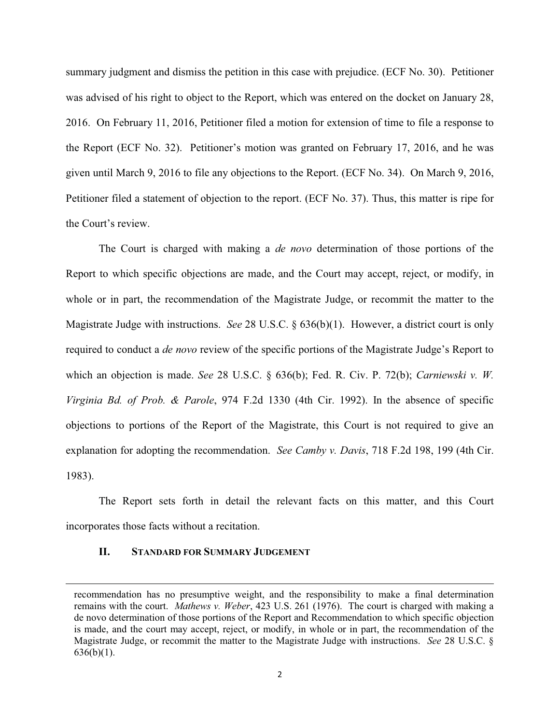summary judgment and dismiss the petition in this case with prejudice. (ECF No. 30). Petitioner was advised of his right to object to the Report, which was entered on the docket on January 28, 2016. On February 11, 2016, Petitioner filed a motion for extension of time to file a response to the Report (ECF No. 32). Petitioner's motion was granted on February 17, 2016, and he was given until March 9, 2016 to file any objections to the Report. (ECF No. 34). On March 9, 2016, Petitioner filed a statement of objection to the report. (ECF No. 37). Thus, this matter is ripe for the Court's review.

The Court is charged with making a *de novo* determination of those portions of the Report to which specific objections are made, and the Court may accept, reject, or modify, in whole or in part, the recommendation of the Magistrate Judge, or recommit the matter to the Magistrate Judge with instructions. *See* 28 U.S.C. § 636(b)(1). However, a district court is only required to conduct a *de novo* review of the specific portions of the Magistrate Judge's Report to which an objection is made. *See* 28 U.S.C. § 636(b); Fed. R. Civ. P. 72(b); *Carniewski v. W. Virginia Bd. of Prob. & Parole*, 974 F.2d 1330 (4th Cir. 1992). In the absence of specific objections to portions of the Report of the Magistrate, this Court is not required to give an explanation for adopting the recommendation. *See Camby v. Davis*, 718 F.2d 198, 199 (4th Cir. 1983).

The Report sets forth in detail the relevant facts on this matter, and this Court incorporates those facts without a recitation.

# **II. STANDARD FOR SUMMARY JUDGEMENT**

 $\overline{a}$ 

recommendation has no presumptive weight, and the responsibility to make a final determination remains with the court. *Mathews v. Weber*, 423 U.S. 261 (1976). The court is charged with making a de novo determination of those portions of the Report and Recommendation to which specific objection is made, and the court may accept, reject, or modify, in whole or in part, the recommendation of the Magistrate Judge, or recommit the matter to the Magistrate Judge with instructions. *See* 28 U.S.C. §  $636(b)(1)$ .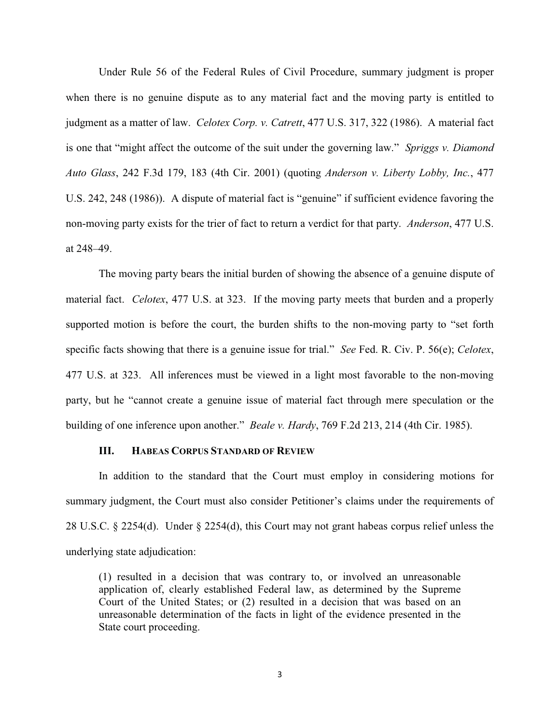Under Rule 56 of the Federal Rules of Civil Procedure, summary judgment is proper when there is no genuine dispute as to any material fact and the moving party is entitled to judgment as a matter of law. *Celotex Corp. v. Catrett*, 477 U.S. 317, 322 (1986). A material fact is one that "might affect the outcome of the suit under the governing law." *Spriggs v. Diamond Auto Glass*, 242 F.3d 179, 183 (4th Cir. 2001) (quoting *Anderson v. Liberty Lobby, Inc.*, 477 U.S. 242, 248 (1986)). A dispute of material fact is "genuine" if sufficient evidence favoring the non-moving party exists for the trier of fact to return a verdict for that party. *Anderson*, 477 U.S. at 248–49.

The moving party bears the initial burden of showing the absence of a genuine dispute of material fact. *Celotex*, 477 U.S. at 323. If the moving party meets that burden and a properly supported motion is before the court, the burden shifts to the non-moving party to "set forth specific facts showing that there is a genuine issue for trial." *See* Fed. R. Civ. P. 56(e); *Celotex*, 477 U.S. at 323. All inferences must be viewed in a light most favorable to the non-moving party, but he "cannot create a genuine issue of material fact through mere speculation or the building of one inference upon another." *Beale v. Hardy*, 769 F.2d 213, 214 (4th Cir. 1985).

# **III. HABEAS CORPUS STANDARD OF REVIEW**

In addition to the standard that the Court must employ in considering motions for summary judgment, the Court must also consider Petitioner's claims under the requirements of 28 U.S.C. § 2254(d). Under § 2254(d), this Court may not grant habeas corpus relief unless the underlying state adjudication:

(1) resulted in a decision that was contrary to, or involved an unreasonable application of, clearly established Federal law, as determined by the Supreme Court of the United States; or (2) resulted in a decision that was based on an unreasonable determination of the facts in light of the evidence presented in the State court proceeding.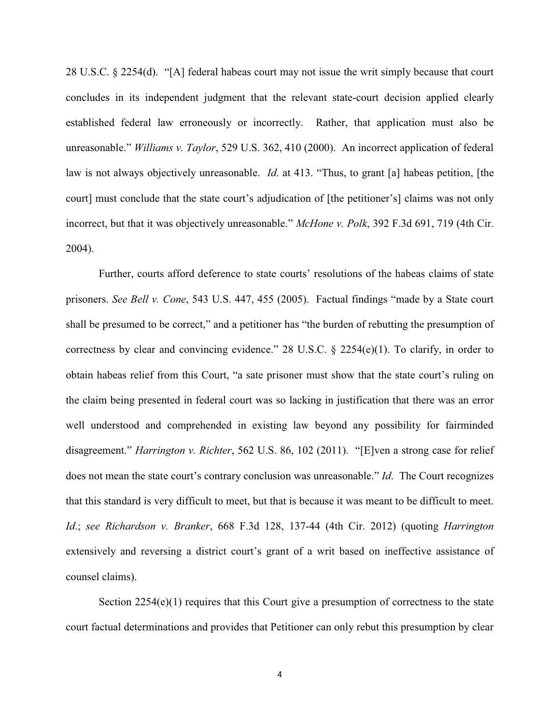28 U.S.C. § 2254(d). "[A] federal habeas court may not issue the writ simply because that court concludes in its independent judgment that the relevant state-court decision applied clearly established federal law erroneously or incorrectly. Rather, that application must also be unreasonable." *Williams v. Taylor*, 529 U.S. 362, 410 (2000). An incorrect application of federal law is not always objectively unreasonable. *Id*. at 413. "Thus, to grant [a] habeas petition, [the court] must conclude that the state court's adjudication of [the petitioner's] claims was not only incorrect, but that it was objectively unreasonable." *McHone v. Polk*, 392 F.3d 691, 719 (4th Cir. 2004).

Further, courts afford deference to state courts' resolutions of the habeas claims of state prisoners. *See Bell v. Cone*, 543 U.S. 447, 455 (2005). Factual findings "made by a State court shall be presumed to be correct," and a petitioner has "the burden of rebutting the presumption of correctness by clear and convincing evidence." 28 U.S.C. § 2254(e)(1). To clarify, in order to obtain habeas relief from this Court, "a sate prisoner must show that the state court's ruling on the claim being presented in federal court was so lacking in justification that there was an error well understood and comprehended in existing law beyond any possibility for fairminded disagreement." *Harrington v. Richter*, 562 U.S. 86, 102 (2011). "[E]ven a strong case for relief does not mean the state court's contrary conclusion was unreasonable." *Id*. The Court recognizes that this standard is very difficult to meet, but that is because it was meant to be difficult to meet. *Id*.; *see Richardson v. Branker*, 668 F.3d 128, 137-44 (4th Cir. 2012) (quoting *Harrington* extensively and reversing a district court's grant of a writ based on ineffective assistance of counsel claims).

Section 2254(e)(1) requires that this Court give a presumption of correctness to the state court factual determinations and provides that Petitioner can only rebut this presumption by clear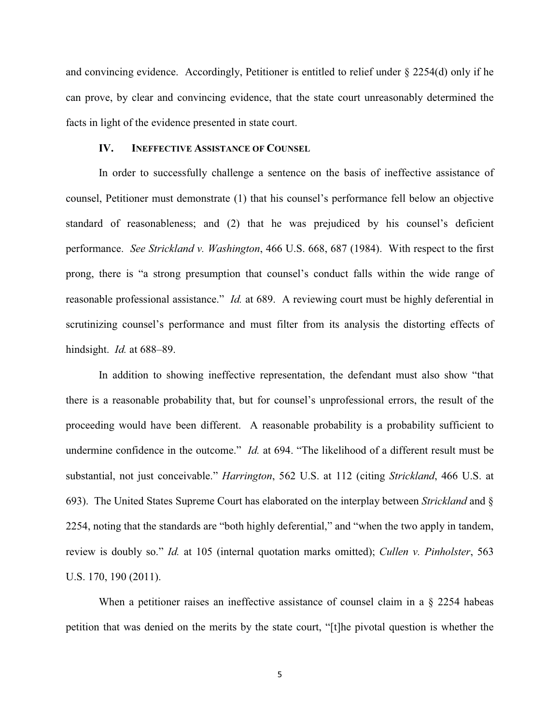and convincing evidence. Accordingly, Petitioner is entitled to relief under  $\S 2254(d)$  only if he can prove, by clear and convincing evidence, that the state court unreasonably determined the facts in light of the evidence presented in state court.

## **IV. INEFFECTIVE ASSISTANCE OF COUNSEL**

In order to successfully challenge a sentence on the basis of ineffective assistance of counsel, Petitioner must demonstrate (1) that his counsel's performance fell below an objective standard of reasonableness; and (2) that he was prejudiced by his counsel's deficient performance. *See Strickland v. Washington*, 466 U.S. 668, 687 (1984). With respect to the first prong, there is "a strong presumption that counsel's conduct falls within the wide range of reasonable professional assistance." *Id.* at 689. A reviewing court must be highly deferential in scrutinizing counsel's performance and must filter from its analysis the distorting effects of hindsight. *Id.* at 688–89.

In addition to showing ineffective representation, the defendant must also show "that there is a reasonable probability that, but for counsel's unprofessional errors, the result of the proceeding would have been different. A reasonable probability is a probability sufficient to undermine confidence in the outcome." *Id.* at 694. "The likelihood of a different result must be substantial, not just conceivable." *Harrington*, 562 U.S. at 112 (citing *Strickland*, 466 U.S. at 693). The United States Supreme Court has elaborated on the interplay between *Strickland* and § 2254, noting that the standards are "both highly deferential," and "when the two apply in tandem, review is doubly so." *Id.* at 105 (internal quotation marks omitted); *Cullen v. Pinholster*, 563 U.S. 170, 190 (2011).

When a petitioner raises an ineffective assistance of counsel claim in a  $\S$  2254 habeas petition that was denied on the merits by the state court, "[t]he pivotal question is whether the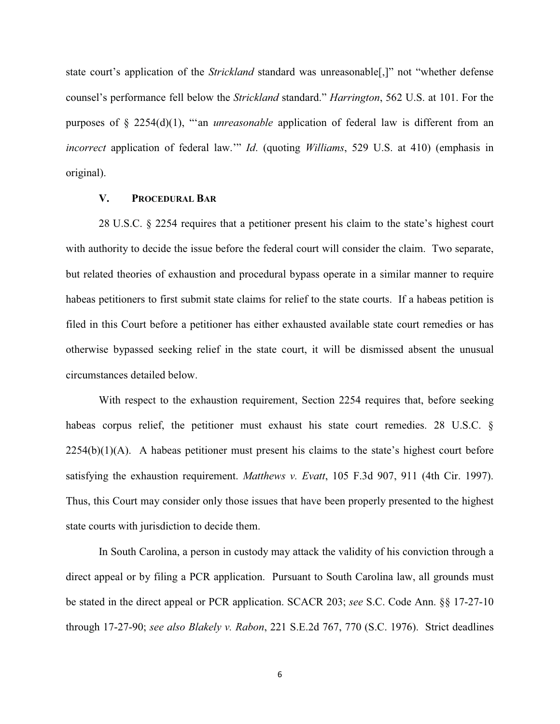state court's application of the *Strickland* standard was unreasonable[,]" not "whether defense counsel's performance fell below the *Strickland* standard." *Harrington*, 562 U.S. at 101. For the purposes of § 2254(d)(1), "'an *unreasonable* application of federal law is different from an *incorrect* application of federal law.'" *Id*. (quoting *Williams*, 529 U.S. at 410) (emphasis in original).

### **V. PROCEDURAL BAR**

28 U.S.C. § 2254 requires that a petitioner present his claim to the state's highest court with authority to decide the issue before the federal court will consider the claim. Two separate, but related theories of exhaustion and procedural bypass operate in a similar manner to require habeas petitioners to first submit state claims for relief to the state courts. If a habeas petition is filed in this Court before a petitioner has either exhausted available state court remedies or has otherwise bypassed seeking relief in the state court, it will be dismissed absent the unusual circumstances detailed below.

With respect to the exhaustion requirement, Section 2254 requires that, before seeking habeas corpus relief, the petitioner must exhaust his state court remedies. 28 U.S.C. §  $2254(b)(1)(A)$ . A habeas petitioner must present his claims to the state's highest court before satisfying the exhaustion requirement. *Matthews v. Evatt*, 105 F.3d 907, 911 (4th Cir. 1997). Thus, this Court may consider only those issues that have been properly presented to the highest state courts with jurisdiction to decide them.

In South Carolina, a person in custody may attack the validity of his conviction through a direct appeal or by filing a PCR application. Pursuant to South Carolina law, all grounds must be stated in the direct appeal or PCR application. SCACR 203; *see* S.C. Code Ann. §§ 17-27-10 through 17-27-90; *see also Blakely v. Rabon*, 221 S.E.2d 767, 770 (S.C. 1976). Strict deadlines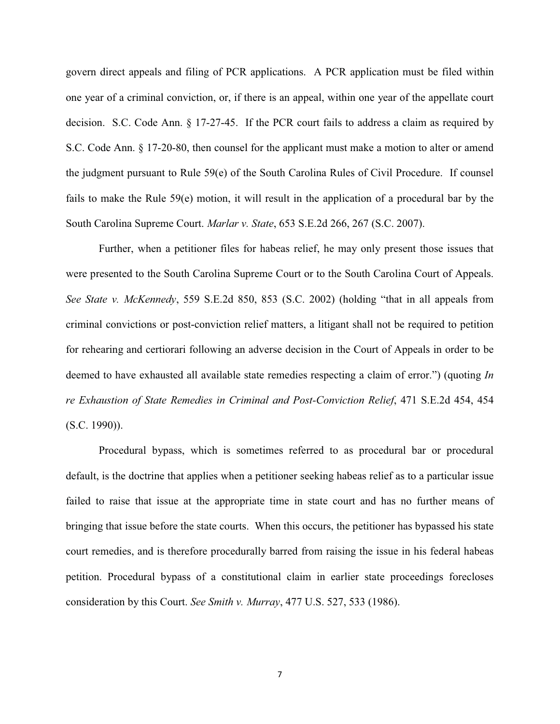govern direct appeals and filing of PCR applications. A PCR application must be filed within one year of a criminal conviction, or, if there is an appeal, within one year of the appellate court decision. S.C. Code Ann. § 17-27-45. If the PCR court fails to address a claim as required by S.C. Code Ann. § 17-20-80, then counsel for the applicant must make a motion to alter or amend the judgment pursuant to Rule 59(e) of the South Carolina Rules of Civil Procedure. If counsel fails to make the Rule  $59(e)$  motion, it will result in the application of a procedural bar by the South Carolina Supreme Court. *Marlar v. State*, 653 S.E.2d 266, 267 (S.C. 2007).

Further, when a petitioner files for habeas relief, he may only present those issues that were presented to the South Carolina Supreme Court or to the South Carolina Court of Appeals. *See State v. McKennedy*, 559 S.E.2d 850, 853 (S.C. 2002) (holding "that in all appeals from criminal convictions or post-conviction relief matters, a litigant shall not be required to petition for rehearing and certiorari following an adverse decision in the Court of Appeals in order to be deemed to have exhausted all available state remedies respecting a claim of error.") (quoting *In re Exhaustion of State Remedies in Criminal and Post-Conviction Relief*, 471 S.E.2d 454, 454 (S.C. 1990)).

Procedural bypass, which is sometimes referred to as procedural bar or procedural default, is the doctrine that applies when a petitioner seeking habeas relief as to a particular issue failed to raise that issue at the appropriate time in state court and has no further means of bringing that issue before the state courts. When this occurs, the petitioner has bypassed his state court remedies, and is therefore procedurally barred from raising the issue in his federal habeas petition. Procedural bypass of a constitutional claim in earlier state proceedings forecloses consideration by this Court. *See Smith v. Murray*, 477 U.S. 527, 533 (1986).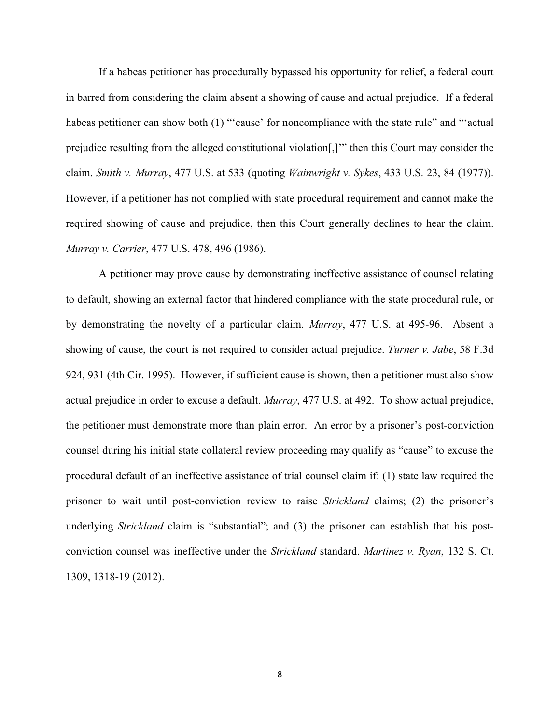If a habeas petitioner has procedurally bypassed his opportunity for relief, a federal court in barred from considering the claim absent a showing of cause and actual prejudice. If a federal habeas petitioner can show both (1) "'cause' for noncompliance with the state rule" and "'actual prejudice resulting from the alleged constitutional violation[,]'" then this Court may consider the claim. *Smith v. Murray*, 477 U.S. at 533 (quoting *Wainwright v. Sykes*, 433 U.S. 23, 84 (1977)). However, if a petitioner has not complied with state procedural requirement and cannot make the required showing of cause and prejudice, then this Court generally declines to hear the claim. *Murray v. Carrier*, 477 U.S. 478, 496 (1986).

A petitioner may prove cause by demonstrating ineffective assistance of counsel relating to default, showing an external factor that hindered compliance with the state procedural rule, or by demonstrating the novelty of a particular claim. *Murray*, 477 U.S. at 495-96. Absent a showing of cause, the court is not required to consider actual prejudice. *Turner v. Jabe*, 58 F.3d 924, 931 (4th Cir. 1995). However, if sufficient cause is shown, then a petitioner must also show actual prejudice in order to excuse a default. *Murray*, 477 U.S. at 492. To show actual prejudice, the petitioner must demonstrate more than plain error. An error by a prisoner's post-conviction counsel during his initial state collateral review proceeding may qualify as "cause" to excuse the procedural default of an ineffective assistance of trial counsel claim if: (1) state law required the prisoner to wait until post-conviction review to raise *Strickland* claims; (2) the prisoner's underlying *Strickland* claim is "substantial"; and (3) the prisoner can establish that his postconviction counsel was ineffective under the *Strickland* standard. *Martinez v. Ryan*, 132 S. Ct. 1309, 1318-19 (2012).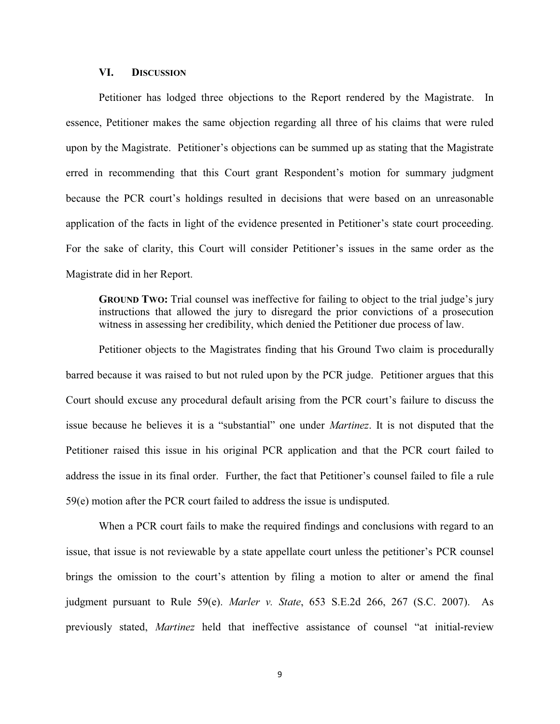# **VI. DISCUSSION**

Petitioner has lodged three objections to the Report rendered by the Magistrate. In essence, Petitioner makes the same objection regarding all three of his claims that were ruled upon by the Magistrate. Petitioner's objections can be summed up as stating that the Magistrate erred in recommending that this Court grant Respondent's motion for summary judgment because the PCR court's holdings resulted in decisions that were based on an unreasonable application of the facts in light of the evidence presented in Petitioner's state court proceeding. For the sake of clarity, this Court will consider Petitioner's issues in the same order as the Magistrate did in her Report.

**GROUND TWO:** Trial counsel was ineffective for failing to object to the trial judge's jury instructions that allowed the jury to disregard the prior convictions of a prosecution witness in assessing her credibility, which denied the Petitioner due process of law.

Petitioner objects to the Magistrates finding that his Ground Two claim is procedurally barred because it was raised to but not ruled upon by the PCR judge. Petitioner argues that this Court should excuse any procedural default arising from the PCR court's failure to discuss the issue because he believes it is a "substantial" one under *Martinez*. It is not disputed that the Petitioner raised this issue in his original PCR application and that the PCR court failed to address the issue in its final order. Further, the fact that Petitioner's counsel failed to file a rule 59(e) motion after the PCR court failed to address the issue is undisputed.

When a PCR court fails to make the required findings and conclusions with regard to an issue, that issue is not reviewable by a state appellate court unless the petitioner's PCR counsel brings the omission to the court's attention by filing a motion to alter or amend the final judgment pursuant to Rule 59(e). *Marler v. State*, 653 S.E.2d 266, 267 (S.C. 2007). As previously stated, *Martinez* held that ineffective assistance of counsel "at initial-review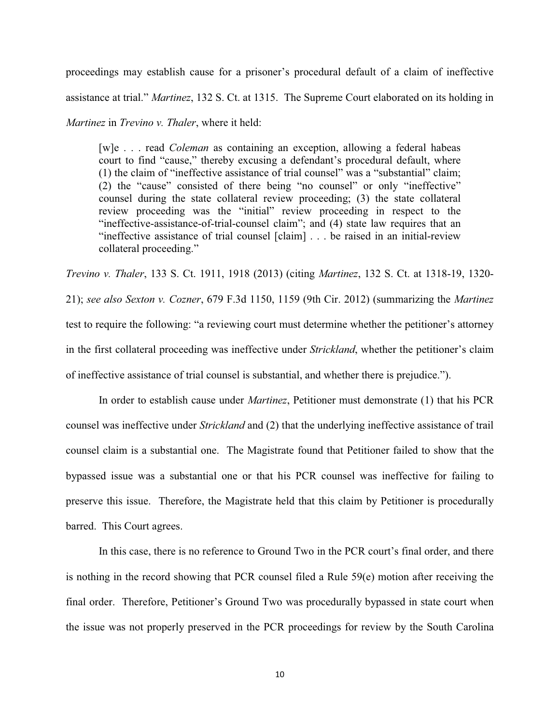proceedings may establish cause for a prisoner's procedural default of a claim of ineffective assistance at trial." *Martinez*, 132 S. Ct. at 1315. The Supreme Court elaborated on its holding in *Martinez* in *Trevino v. Thaler*, where it held:

[w]e . . . read *Coleman* as containing an exception, allowing a federal habeas court to find "cause," thereby excusing a defendant's procedural default, where (1) the claim of "ineffective assistance of trial counsel" was a "substantial" claim; (2) the "cause" consisted of there being "no counsel" or only "ineffective" counsel during the state collateral review proceeding; (3) the state collateral review proceeding was the "initial" review proceeding in respect to the "ineffective-assistance-of-trial-counsel claim"; and (4) state law requires that an "ineffective assistance of trial counsel [claim] . . . be raised in an initial-review collateral proceeding."

*Trevino v. Thaler*, 133 S. Ct. 1911, 1918 (2013) (citing *Martinez*, 132 S. Ct. at 1318-19, 1320- 21); *see also Sexton v. Cozner*, 679 F.3d 1150, 1159 (9th Cir. 2012) (summarizing the *Martinez* test to require the following: "a reviewing court must determine whether the petitioner's attorney in the first collateral proceeding was ineffective under *Strickland*, whether the petitioner's claim of ineffective assistance of trial counsel is substantial, and whether there is prejudice.").

In order to establish cause under *Martinez*, Petitioner must demonstrate (1) that his PCR counsel was ineffective under *Strickland* and (2) that the underlying ineffective assistance of trail counsel claim is a substantial one. The Magistrate found that Petitioner failed to show that the bypassed issue was a substantial one or that his PCR counsel was ineffective for failing to preserve this issue. Therefore, the Magistrate held that this claim by Petitioner is procedurally barred. This Court agrees.

In this case, there is no reference to Ground Two in the PCR court's final order, and there is nothing in the record showing that PCR counsel filed a Rule 59(e) motion after receiving the final order. Therefore, Petitioner's Ground Two was procedurally bypassed in state court when the issue was not properly preserved in the PCR proceedings for review by the South Carolina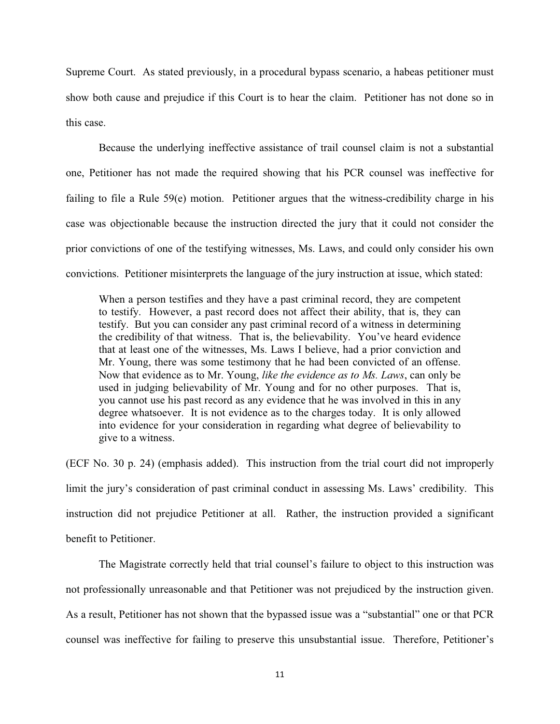Supreme Court. As stated previously, in a procedural bypass scenario, a habeas petitioner must show both cause and prejudice if this Court is to hear the claim. Petitioner has not done so in this case.

Because the underlying ineffective assistance of trail counsel claim is not a substantial one, Petitioner has not made the required showing that his PCR counsel was ineffective for failing to file a Rule 59(e) motion. Petitioner argues that the witness-credibility charge in his case was objectionable because the instruction directed the jury that it could not consider the prior convictions of one of the testifying witnesses, Ms. Laws, and could only consider his own convictions. Petitioner misinterprets the language of the jury instruction at issue, which stated:

When a person testifies and they have a past criminal record, they are competent to testify. However, a past record does not affect their ability, that is, they can testify. But you can consider any past criminal record of a witness in determining the credibility of that witness. That is, the believability. You've heard evidence that at least one of the witnesses, Ms. Laws I believe, had a prior conviction and Mr. Young, there was some testimony that he had been convicted of an offense. Now that evidence as to Mr. Young, *like the evidence as to Ms. Laws*, can only be used in judging believability of Mr. Young and for no other purposes. That is, you cannot use his past record as any evidence that he was involved in this in any degree whatsoever. It is not evidence as to the charges today. It is only allowed into evidence for your consideration in regarding what degree of believability to give to a witness.

(ECF No. 30 p. 24) (emphasis added). This instruction from the trial court did not improperly limit the jury's consideration of past criminal conduct in assessing Ms. Laws' credibility. This instruction did not prejudice Petitioner at all. Rather, the instruction provided a significant benefit to Petitioner.

The Magistrate correctly held that trial counsel's failure to object to this instruction was not professionally unreasonable and that Petitioner was not prejudiced by the instruction given. As a result, Petitioner has not shown that the bypassed issue was a "substantial" one or that PCR counsel was ineffective for failing to preserve this unsubstantial issue. Therefore, Petitioner's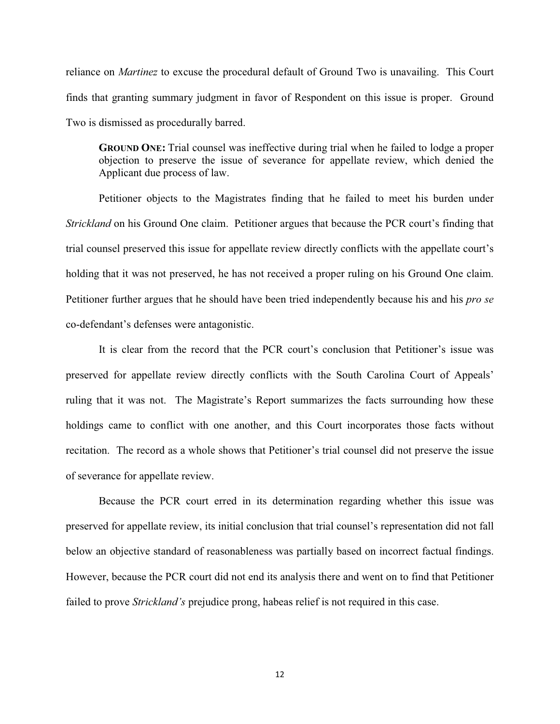reliance on *Martinez* to excuse the procedural default of Ground Two is unavailing. This Court finds that granting summary judgment in favor of Respondent on this issue is proper. Ground Two is dismissed as procedurally barred.

**GROUND ONE:** Trial counsel was ineffective during trial when he failed to lodge a proper objection to preserve the issue of severance for appellate review, which denied the Applicant due process of law.

Petitioner objects to the Magistrates finding that he failed to meet his burden under *Strickland* on his Ground One claim. Petitioner argues that because the PCR court's finding that trial counsel preserved this issue for appellate review directly conflicts with the appellate court's holding that it was not preserved, he has not received a proper ruling on his Ground One claim. Petitioner further argues that he should have been tried independently because his and his *pro se* co-defendant's defenses were antagonistic.

It is clear from the record that the PCR court's conclusion that Petitioner's issue was preserved for appellate review directly conflicts with the South Carolina Court of Appeals' ruling that it was not. The Magistrate's Report summarizes the facts surrounding how these holdings came to conflict with one another, and this Court incorporates those facts without recitation. The record as a whole shows that Petitioner's trial counsel did not preserve the issue of severance for appellate review.

Because the PCR court erred in its determination regarding whether this issue was preserved for appellate review, its initial conclusion that trial counsel's representation did not fall below an objective standard of reasonableness was partially based on incorrect factual findings. However, because the PCR court did not end its analysis there and went on to find that Petitioner failed to prove *Strickland's* prejudice prong, habeas relief is not required in this case.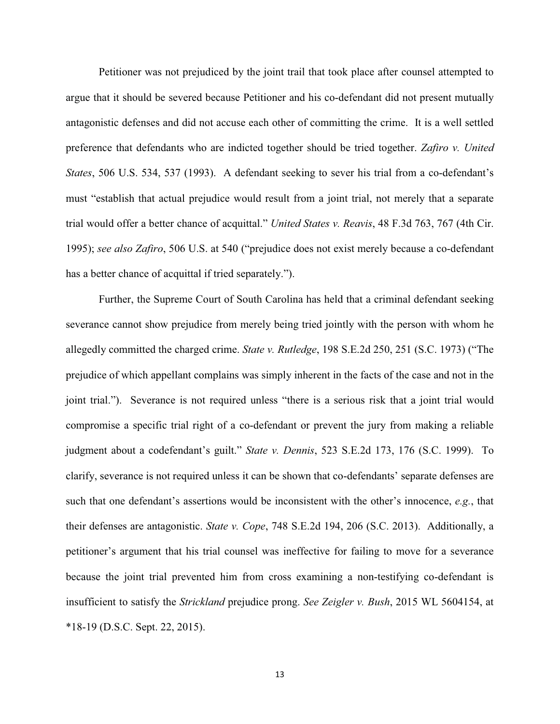Petitioner was not prejudiced by the joint trail that took place after counsel attempted to argue that it should be severed because Petitioner and his co-defendant did not present mutually antagonistic defenses and did not accuse each other of committing the crime. It is a well settled preference that defendants who are indicted together should be tried together. *Zafiro v. United States*, 506 U.S. 534, 537 (1993). A defendant seeking to sever his trial from a co-defendant's must "establish that actual prejudice would result from a joint trial, not merely that a separate trial would offer a better chance of acquittal." *United States v. Reavis*, 48 F.3d 763, 767 (4th Cir. 1995); *see also Zafiro*, 506 U.S. at 540 ("prejudice does not exist merely because a co-defendant has a better chance of acquittal if tried separately.").

Further, the Supreme Court of South Carolina has held that a criminal defendant seeking severance cannot show prejudice from merely being tried jointly with the person with whom he allegedly committed the charged crime. *State v. Rutledge*, 198 S.E.2d 250, 251 (S.C. 1973) ("The prejudice of which appellant complains was simply inherent in the facts of the case and not in the joint trial."). Severance is not required unless "there is a serious risk that a joint trial would compromise a specific trial right of a co-defendant or prevent the jury from making a reliable judgment about a codefendant's guilt." *State v. Dennis*, 523 S.E.2d 173, 176 (S.C. 1999). To clarify, severance is not required unless it can be shown that co-defendants' separate defenses are such that one defendant's assertions would be inconsistent with the other's innocence, *e.g.*, that their defenses are antagonistic. *State v. Cope*, 748 S.E.2d 194, 206 (S.C. 2013). Additionally, a petitioner's argument that his trial counsel was ineffective for failing to move for a severance because the joint trial prevented him from cross examining a non-testifying co-defendant is insufficient to satisfy the *Strickland* prejudice prong. *See Zeigler v. Bush*, 2015 WL 5604154, at \*18-19 (D.S.C. Sept. 22, 2015).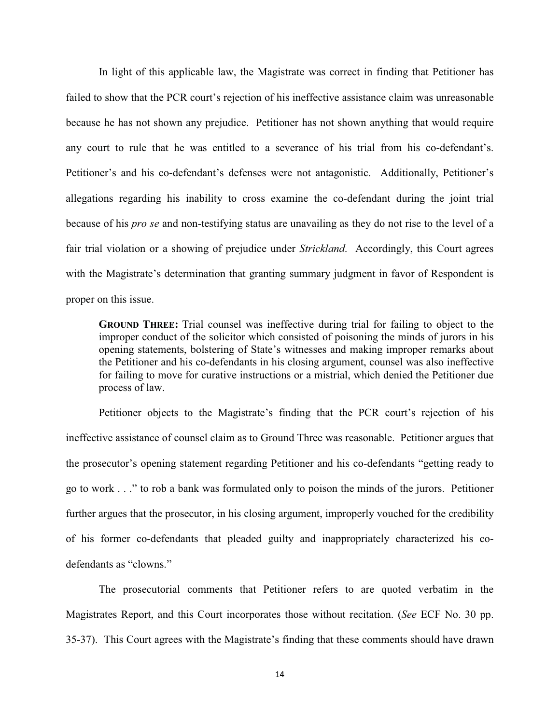In light of this applicable law, the Magistrate was correct in finding that Petitioner has failed to show that the PCR court's rejection of his ineffective assistance claim was unreasonable because he has not shown any prejudice. Petitioner has not shown anything that would require any court to rule that he was entitled to a severance of his trial from his co-defendant's. Petitioner's and his co-defendant's defenses were not antagonistic. Additionally, Petitioner's allegations regarding his inability to cross examine the co-defendant during the joint trial because of his *pro se* and non-testifying status are unavailing as they do not rise to the level of a fair trial violation or a showing of prejudice under *Strickland*. Accordingly, this Court agrees with the Magistrate's determination that granting summary judgment in favor of Respondent is proper on this issue.

**GROUND THREE:** Trial counsel was ineffective during trial for failing to object to the improper conduct of the solicitor which consisted of poisoning the minds of jurors in his opening statements, bolstering of State's witnesses and making improper remarks about the Petitioner and his co-defendants in his closing argument, counsel was also ineffective for failing to move for curative instructions or a mistrial, which denied the Petitioner due process of law.

Petitioner objects to the Magistrate's finding that the PCR court's rejection of his ineffective assistance of counsel claim as to Ground Three was reasonable. Petitioner argues that the prosecutor's opening statement regarding Petitioner and his co-defendants "getting ready to go to work . . ." to rob a bank was formulated only to poison the minds of the jurors. Petitioner further argues that the prosecutor, in his closing argument, improperly vouched for the credibility of his former co-defendants that pleaded guilty and inappropriately characterized his codefendants as "clowns."

The prosecutorial comments that Petitioner refers to are quoted verbatim in the Magistrates Report, and this Court incorporates those without recitation. (*See* ECF No. 30 pp. 35-37). This Court agrees with the Magistrate's finding that these comments should have drawn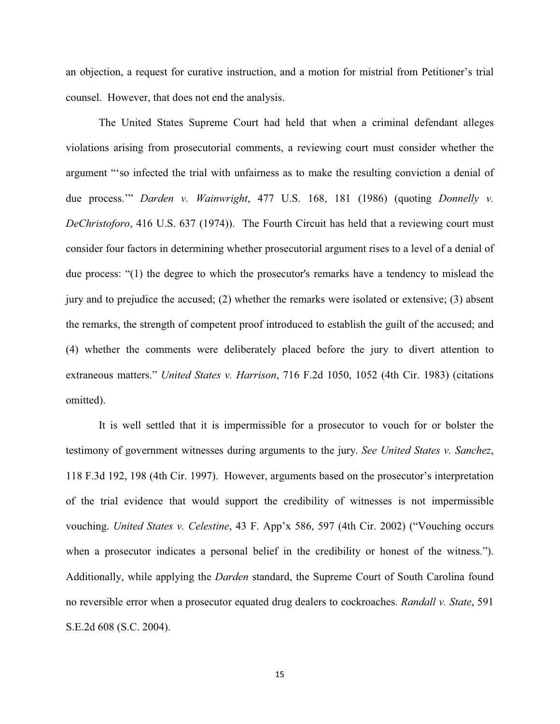an objection, a request for curative instruction, and a motion for mistrial from Petitioner's trial counsel. However, that does not end the analysis.

The United States Supreme Court had held that when a criminal defendant alleges violations arising from prosecutorial comments, a reviewing court must consider whether the argument "'so infected the trial with unfairness as to make the resulting conviction a denial of due process.'" *Darden v. Wainwright*, 477 U.S. 168, 181 (1986) (quoting *Donnelly v. DeChristoforo*, 416 U.S. 637 (1974)). The Fourth Circuit has held that a reviewing court must consider four factors in determining whether prosecutorial argument rises to a level of a denial of due process: "(1) the degree to which the prosecutor's remarks have a tendency to mislead the jury and to prejudice the accused; (2) whether the remarks were isolated or extensive; (3) absent the remarks, the strength of competent proof introduced to establish the guilt of the accused; and (4) whether the comments were deliberately placed before the jury to divert attention to extraneous matters." *United States v. Harrison*, 716 F.2d 1050, 1052 (4th Cir. 1983) (citations omitted).

It is well settled that it is impermissible for a prosecutor to vouch for or bolster the testimony of government witnesses during arguments to the jury. *See United States v. Sanchez*, 118 F.3d 192, 198 (4th Cir. 1997). However, arguments based on the prosecutor's interpretation of the trial evidence that would support the credibility of witnesses is not impermissible vouching. *United States v. Celestine*, 43 F. App'x 586, 597 (4th Cir. 2002) ("Vouching occurs when a prosecutor indicates a personal belief in the credibility or honest of the witness."). Additionally, while applying the *Darden* standard, the Supreme Court of South Carolina found no reversible error when a prosecutor equated drug dealers to cockroaches. *Randall v. State*, 591 S.E.2d 608 (S.C. 2004).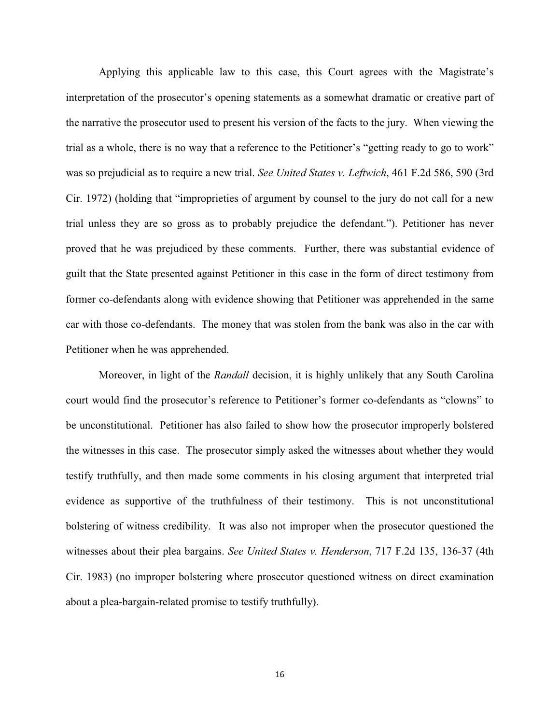Applying this applicable law to this case, this Court agrees with the Magistrate's interpretation of the prosecutor's opening statements as a somewhat dramatic or creative part of the narrative the prosecutor used to present his version of the facts to the jury. When viewing the trial as a whole, there is no way that a reference to the Petitioner's "getting ready to go to work" was so prejudicial as to require a new trial. *See United States v. Leftwich*, 461 F.2d 586, 590 (3rd Cir. 1972) (holding that "improprieties of argument by counsel to the jury do not call for a new trial unless they are so gross as to probably prejudice the defendant."). Petitioner has never proved that he was prejudiced by these comments. Further, there was substantial evidence of guilt that the State presented against Petitioner in this case in the form of direct testimony from former co-defendants along with evidence showing that Petitioner was apprehended in the same car with those co-defendants. The money that was stolen from the bank was also in the car with Petitioner when he was apprehended.

Moreover, in light of the *Randall* decision, it is highly unlikely that any South Carolina court would find the prosecutor's reference to Petitioner's former co-defendants as "clowns" to be unconstitutional. Petitioner has also failed to show how the prosecutor improperly bolstered the witnesses in this case. The prosecutor simply asked the witnesses about whether they would testify truthfully, and then made some comments in his closing argument that interpreted trial evidence as supportive of the truthfulness of their testimony. This is not unconstitutional bolstering of witness credibility. It was also not improper when the prosecutor questioned the witnesses about their plea bargains. *See United States v. Henderson*, 717 F.2d 135, 136-37 (4th Cir. 1983) (no improper bolstering where prosecutor questioned witness on direct examination about a plea-bargain-related promise to testify truthfully).